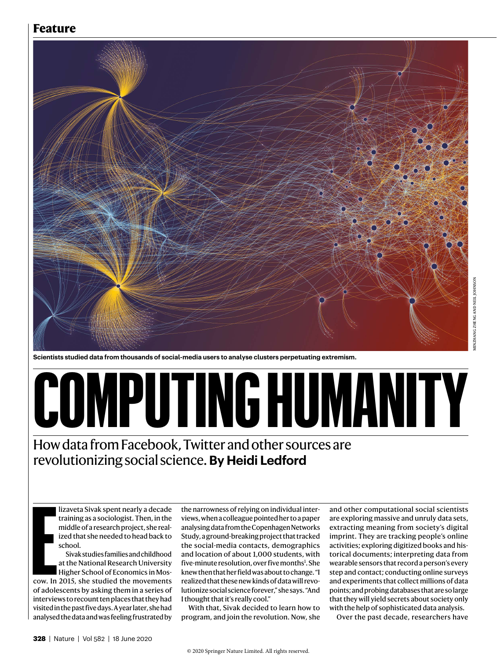# **Feature**



**Scientists studied data from thousands of social-media users to analyse clusters perpetuating extremism.** 

# **COMPUTING HUMANITY**

# How data from Facebook, Twitter and other sources are revolutionizing social science. **By Heidi Ledford**

lizaveta Sivak spent nearly a decade training as a sociologist. Then, in the middle of a research project, she realized that she needed to head back to school.

**E**<br> **E**<br> **E**<br> **E**<br> **E**<br> **E**<br> **E** Sivak studies families and childhood at the National Research University Higher School of Economics in Moscow. In 2015, she studied the movements of adolescents by asking them in a series of interviews to recount ten places that they had visited in the past five days. A year later, she had analysed the data and was feeling frustrated by

the narrowness of relying on individual interviews, when a colleague pointed her to a paper analysing data from the Copenhagen Networks Study, a ground-breaking project that tracked the social-media contacts, demographics and location of about 1,000 students, with five-minute resolution, over five months<sup>1</sup>. She knew then that her field was about to change. "I realized that these new kinds of data will revolutionize social science forever," she says. "And I thought that it's really cool."

With that, Sivak decided to learn how to program, and join the revolution. Now, she and other computational social scientists are exploring massive and unruly data sets, extracting meaning from society's digital imprint. They are tracking people's online activities; exploring digitized books and historical documents; interpreting data from wearable sensors that record a person's every step and contact; conducting online surveys and experiments that collect millions of data points; and probing databases that are so large that they will yield secrets about society only with the help of sophisticated data analysis.

Over the past decade, researchers have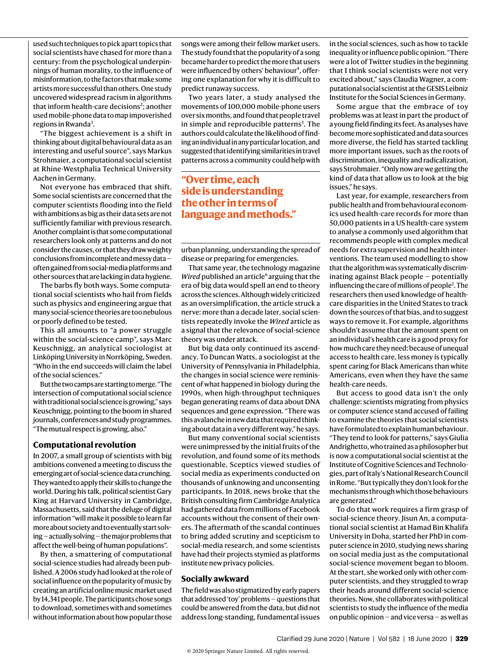used such techniques to pick apart topics that social scientists have chased for more than a century: from the psychological underpinnings of human morality, to the influence of misinformation, to the factors that make some artists more successful than others. One study uncovered widespread racism in algorithms that inform health-care decisions<sup>2</sup>; another used mobile-phone data to map impoverished regions in Rwanda<sup>3</sup>.

"The biggest achievement is a shift in thinking about digital behavioural data as an interesting and useful source", says Markus Strohmaier, a computational social scientist at Rhine-Westphalia Technical University Aachen in Germany.

Not everyone has embraced that shift. Some social scientists are concerned that the computer scientists flooding into the field with ambitions as big as their data sets are not sufficiently familiar with previous research. Another complaint is that some computational researchers look only at patterns and do not consider the causes, or that they draw weighty conclusions from incomplete and messy data often gained from social-media platforms and other sources that are lacking in data hygiene.

The barbs fly both ways. Some computational social scientists who hail from fields such as physics and engineering argue that many social-science theories are too nebulous or poorly defined to be tested.

This all amounts to "a power struggle within the social-science camp", says Marc Keuschnigg, an analytical sociologist at Linköping University in Norrköping, Sweden. "Who in the end succeeds will claim the label of the social sciences."

But the two camps are starting to merge. "The intersection of computational social science with traditional social science is growing," says Keuschnigg, pointing to the boom in shared journals, conferences and study programmes. "The mutual respect is growing, also."

### **Computational revolution**

In 2007, a small group of scientists with big ambitions convened a meeting to discuss the emerging art of social-science data crunching. They wanted to apply their skills to change the world. During his talk, political scientist Gary King at Harvard University in Cambridge, Massachusetts, said that the deluge of digital information "will make it possible to learn far more about society and to eventually start solving — actually solving — the major problems that affect the well-being of human populations".

By then, a smattering of computational social-science studies had already been published. A 2006 study had looked at the role of social influence on the popularity of music by creating an artificial online music market used by 14,341 people. The participants chose songs to download, sometimes with and sometimes without information about how popular those

songs were among their fellow market users. The study found that the popularity of a song became harder to predict the more that users were influenced by others' behaviour<sup>4</sup>, offering one explanation for why it is difficult to predict runaway success.

Two years later, a study analysed the movements of 100,000 mobile-phone users over six months, and found that people travel in simple and reproducible patterns<sup>5</sup>. The authors could calculate the likelihood of finding an individual in any particular location, and suggested that identifying similarities in travel patterns across a community could help with

# **"Over time, each side is understanding the other in terms of language and methods."**

urban planning, understanding the spread of disease or preparing for emergencies.

That same year, the technology magazine *Wired* published an article<sup>6</sup> arguing that the era of big data would spell an end to theory across the sciences. Although widely criticized as an oversimplification, the article struck a nerve: more than a decade later, social scientists repeatedly invoke the *Wired* article as a signal that the relevance of social-science theory was under attack.

But big data only continued its ascendancy. To Duncan Watts, a sociologist at the University of Pennsylvania in Philadelphia, the changes in social science were reminiscent of what happened in biology during the 1990s, when high-throughput techniques began generating reams of data about DNA sequences and gene expression. "There was this avalanche in new data that required thinking about data in a very different way," he says.

But many conventional social scientists were unimpressed by the initial fruits of the revolution, and found some of its methods questionable. Sceptics viewed studies of social media as experiments conducted on thousands of unknowing and unconsenting participants. In 2018, news broke that the British consulting firm Cambridge Analytica had gathered data from millions of Facebook accounts without the consent of their owners. The aftermath of the scandal continues to bring added scrutiny and scepticism to social-media research, and some scientists have had their projects stymied as platforms institute new privacy policies.

### **Socially awkward**

The field was also stigmatized by early papers that addressed 'toy' problems — questions that could be answered from the data, but did not address long-standing, fundamental issues in the social sciences, such as how to tackle inequality or influence public opinion. "There were a lot of Twitter studies in the beginning that I think social scientists were not very excited about," says Claudia Wagner, a computational social scientist at the GESIS Leibniz Institute for the Social Sciences in Germany.

Some argue that the embrace of toy problems was at least in part the product of a young field finding its feet. As analyses have become more sophisticated and data sources more diverse, the field has started tackling more important issues, such as the roots of discrimination, inequality and radicalization, says Strohmaier. "Only now are we getting the kind of data that allow us to look at the big issues," he says.

Last year, for example, researchers from public health and from behavioural economics used health-care records for more than 50,000 patients in a US health-care system to analyse a commonly used algorithm that recommends people with complex medical needs for extra supervision and health interventions. The team used modelling to show that the algorithm was systematically discriminating against Black people — potentially influencing the care of millions of people<sup>2</sup>. The researchers then used knowledge of healthcare disparities in the United States to track down the sources of that bias, and to suggest ways to remove it. For example, algorithms shouldn't assume that the amount spent on an individual's health care is a good proxy for how much care they need: because of unequal access to health care, less money is typically spent caring for Black Americans than white Americans, even when they have the same health-care needs.

But access to good data isn't the only challenge: scientists migrating from physics or computer science stand accused of failing to examine the theories that social scientists have formulated to explain human behaviour. "They tend to look for patterns," says Giulia Andrighetto, who trained as a philosopher but is now a computational social scientist at the Institute of Cognitive Sciences and Technologies, part of Italy's National Research Council in Rome. "But typically they don't look for the mechanisms through which those behaviours are generated."

To do that work requires a firm grasp of social-science theory. Jisun An, a computational social scientist at Hamad Bin Khalifa University in Doha, started her PhD in computer science in 2010, studying news sharing on social media just as the computational social-science movement began to bloom. At the start, she worked only with other computer scientists, and they struggled to wrap their heads around different social-science theories. Now, she collaborates with political scientists to study the influence of the media on public opinion — and vice versa — as well as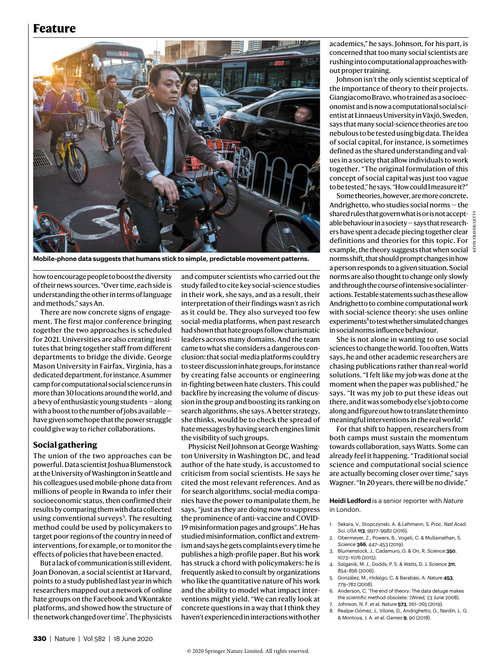# **Feature**



**Mobile-phone data suggests that humans stick to simple, predictable movement patterns.**

how to encourage people to boost the diversity of their news sources. "Over time, each side is understanding the other in terms of language and methods," says An.

There are now concrete signs of engagement. The first major conference bringing together the two approaches is scheduled for 2021. Universities are also creating institutes that bring together staff from different departments to bridge the divide. George Mason University in Fairfax, Virginia, has a dedicated department, for instance. A summer camp for computational social science runs in more than 30 locations around the world, and a bevy of enthusiastic young students — along with a boost to the number of jobs available have given some hope that the power struggle could give way to richer collaborations.

## **Social gathering**

The union of the two approaches can be powerful. Data scientist Joshua Blumenstock at the University of Washington in Seattle and his colleagues used mobile-phone data from millions of people in Rwanda to infer their socioeconomic status, then confirmed their results by comparing them with data collected using conventional surveys<sup>3</sup>. The resulting method could be used by policymakers to target poor regions of the country in need of interventions, for example, or to monitor the effects of policies that have been enacted.

But a lack of communication is still evident. Joan Donovan, a social scientist at Harvard, points to a study published last year in which researchers mapped out a network of online hate groups on the Facebook and VKontakte platforms, and showed how the structure of the network changed over time<sup>7</sup>. The physicists

and computer scientists who carried out the study failed to cite key social-science studies in their work, she says, and as a result, their interpretation of their findings wasn't as rich as it could be. They also surveyed too few social-media platforms, when past research had shown that hate groups follow charismatic leaders across many domains. And the team came to what she considers a dangerous conclusion: that social-media platforms could try to steer discussion in hate groups, for instance by creating false accounts or engineering in-fighting between hate clusters. This could backfire by increasing the volume of discussion in the group and boosting its ranking on search algorithms, she says. A better strategy, she thinks, would be to check the spread of hate messages by having search engines limit the visibility of such groups.

Physicist Neil Johnson at George Washington University in Washington DC, and lead author of the hate study, is accustomed to criticism from social scientists. He says he cited the most relevant references. And as for search algorithms, social-media companies have the power to manipulate them, he says, "just as they are doing now to suppress the prominence of anti-vaccine and COVID-19 misinformation pages and groups". He has studied misinformation, conflict and extremism and says he gets complaints every time he publishes a high-profile paper. But his work has struck a chord with policymakers: he is frequently asked to consult by organizations who like the quantitative nature of his work and the ability to model what impact interventions might yield. "We can really look at concrete questions in a way that I think they haven't experienced in interactions with other academics," he says. Johnson, for his part, is concerned that too many social scientists are rushing into computational approaches without proper training.

Johnson isn't the only scientist sceptical of the importance of theory to their projects. Giangiacomo Bravo, who trained as a socioeconomist and is now a computational social scientist at Linnaeus University in Växjö, Sweden, says that many social-science theories are too nebulous to be tested using big data. The idea of social capital, for instance, is sometimes defined as the shared understanding and values in a society that allow individuals to work together. "The original formulation of this concept of social capital was just too vague to be tested," he says. "How could I measure it?"

Some theories, however, are more concrete. Andrighetto, who studies social norms — the shared rules that govern what is or is not acceptable behaviour in a society — says that researchers have spent a decade piecing together clear definitions and theories for this topic. For example, the theory suggests that when social norms shift, that should prompt changes in how a person responds to a given situation. Social norms are also thought to change only slowly and through the course of intensive social interactions. Testable statements such as these allow Andrighetto to combine computational work with social-science theory: she uses online experiments<sup>8</sup> to test whether simulated changes in social norms influence behaviour.

She is not alone in wanting to use social sciences to change the world. Too often, Watts says, he and other academic researchers are chasing publications rather than real-world solutions. "I felt like my job was done at the moment when the paper was published," he says. "It was my job to put these ideas out there, and it was somebody else's job to come along and figure out how to translate them into meaningful interventions in the real world."

For that shift to happen, researchers from both camps must sustain the momentum towards collaboration, says Watts. Some can already feel it happening. "Traditional social science and computational social science are actually becoming closer over time," says Wagner. "In 20 years, there will be no divide."

**Heidi Ledford** is a senior reporter with *Nature* in London.

- 1. Sekara, V., Stopczynski, A. & Lehmann, S. *Proc. Natl Acad. Sci. USA* **113**, 9977–9982 (2016).
- 2. Obermeyer, Z., Powers, B., Vogeli, C. & Mullainathan, S*. Science* **366**, 447–453 (2019).
- 3. Blumenstock, J., Cadamuro, G. & On, R. *Science* **350**, 1073–1076 (2015).
- 4. Salganik, M. J., Dodds, P. S. & Watts, D. J. *Science* **311**, 854–856 (2006).
- 5. González, M., Hidalgo, C. & Barabási, A. *Nature* **453**, 779–782 (2008).
- 6. Anderson, C. 'The end of theory: The data deluge makes the scientific method obsolete.' (*Wired,* 23 June 2008).
- 7. Johnson, N. F. *et al. Nature* **573**, 261–265 (2019).
- 8. Realpe-Gómez, J., Vilone, D., Andrighetto, G., Nardin, L. G. & Montoya, J. A. *et al. Games* **9**, 90 (2018).